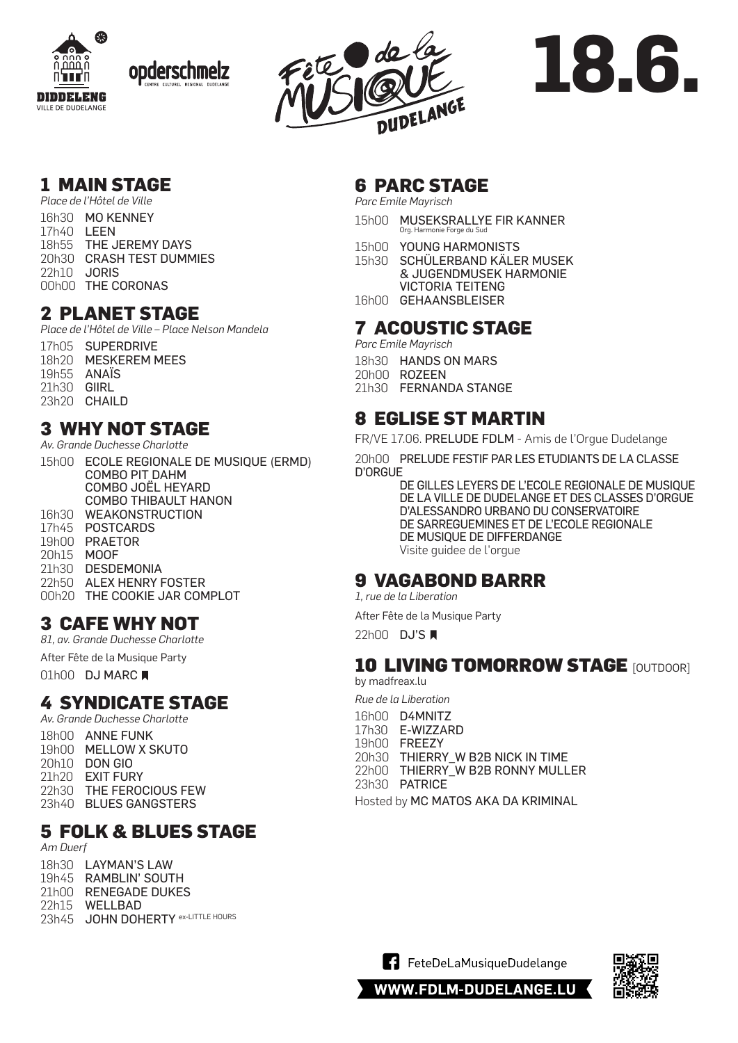







# **18.6.**

## **1 MAIN STAGE**

**MAIN STAGE** 18h55 THE JEREMY DAYS *Place de l'Hôtel de Ville* 20h30 CRASH TEST DUMMIES 22h10 JORIS 00h00 THE CORONAS *Place de l'Hôtel de Ville* 16h30 MO KENNEY 17h40 LEEN

#### 20h30 PORT CITIES **2 PLANET STAGE**

Place de l'Hôtel de Ville - Place Nelson Mandela 17h05 SUPERDRIVE

18h20 MESKEREM MEES 19h55 ANAÏS 21h30 **GIIRL** 23h20 CHAILD

### **3 WHY NOT STAGE**

Av. Grande Duchesse Charlotte

15h00 ECOLE REGIONALE DE MUSIQUE (ERMD) COMBO PIT DAHM COMBO JOËL HEYARD COMBO THIBAULT HANON 16h30 WEAKONSTRUCTION 17h45 **POSTCARDS** 1 OUTUMNUJ 19h00 PRAETOR 20h15<br>21h30 21h30 DESDEMONIA 22h50 ALEX HENRY FOSTER 00h20 THE COOKIE JAR COMPLOT MOOF

## **3 CAFE WHY NOT**

**YOUTH STAGE** by Jugendhaus & SNJ *81, av. Grande Duchesse Charlotte*

After Fête de la Musique Party

 $01h00$  D I 01h00 DJ MARC ■

#### $\epsilon$  over  $\epsilon$  to  $\epsilon$ **4 SYNDICATE STAGE**

Av. Grande Duchesse Charlotte 18h00 ANNE FUNK **Paris Paris Paris Paris Paris Paris Paris Paris Paris Paris Paris Paris Paris Paris Paris Paris Paris Paris Paris Paris Paris Paris Paris Paris Paris Paris Paris Paris Paris Paris Paris Paris Paris Paris P** *Place Am Duerf* 19h00 MELLOW X SKUTO 20h10 DON GIO 21h20 EXIT FURY 22h30 THE FEROCIOUS FEW 23h40 BLUES GANGSTERS

## **5 FOLK & BLUES STAGE**

**PARC STAGE**  *Am Duerf Parc Émile Mayrisch* 18h30 LAYMAN'S LAW 19h45 RAMBLIN' SOUTH 21h00 RENEGADE DUKES 22h15 WELLBAD 23h45 JOHN DOHERTY ex-LITTLE HOURS

## **6 PARC STAGE**

*Parc Emile Mayrisch*

- 15h00 MUSEKSRALLYE FIR KANNER Org. Harmonie Forge du Su
- SYNDICATE ACTIVE ACTIVE ACTIVE ACTIVE ACTIVE ACTIVE ACTIVE ACTIVE ACTIVE ACTIVE ACTIVE ACTIVE ACTIVE ACTIVE ACT<br>The country of the country of the country of the country of the country of the country of the country of the c *33 Av. Grande-Duchesse Charlotte* 15h00 YOUNG HARMONISTS
- 15h30 SCHÜLERBAND KÄLER MUSEK & JUGENDMUSEK HARMONIE VICTORIA TEITENG
- 16h00 GEHAANSBLEISER

## **7 ACOUSTIC STAGE**

*33 Av. Grande-Duchesse Charlotte (indoor) Parc Emile Mayrisch*

- 18h30 HANDS ON MARS
- 20h00 ROZEEN
- 21h30 FERNANDA STANGE

#### $\overline{\phantom{a}}$   $\overline{\phantom{a}}$   $\overline{\phantom{a}}$   $\overline{\phantom{a}}$   $\overline{\phantom{a}}$   $\overline{\phantom{a}}$   $\overline{\phantom{a}}$   $\overline{\phantom{a}}$   $\overline{\phantom{a}}$   $\overline{\phantom{a}}$   $\overline{\phantom{a}}$   $\overline{\phantom{a}}$   $\overline{\phantom{a}}$   $\overline{\phantom{a}}$   $\overline{\phantom{a}}$   $\overline{\phantom{a}}$   $\overline{\phantom{a}}$   $\overline{\phantom{a}}$   $\overline{\$ *81 Av. Grande-Duchesse Charlotte (indoor)* **8 EGLISE ST MARTIN**

FR/VE 17.06. PRELUDE FDLM - Amis de l'Orgue Dudelange

20h00 PRELUDE FESTIF PAR LES ETUDIANTS DE LA CLASSE *1 Rue de la Libération (indoor)* D'ORGUE

DE GILLES LEYERS DE L'ECOLE REGIONALE DE MUSIQUE DE LA VILLE DE DUDELANGE ET DES CLASSES D'ORGUE *15 Rue de la Libération* D'ALESSANDRO URBANO DU CONSERVATOIRE DE SARREGUEMINES ET DE L'ECOLE REGIONALE DE MUSIQUE DE DIFFERDANGE Visite guidee de l'orgue

#### **9 VAGABOND BARRR**  $22$  **Propriet to Primitive**

B2B ROBERT COURIER Roomsonsounds *1, rue de la Liberation*

After Fête de la Musique Party

22h00 **DJ'S** 

#### 10 I IVING TAMA **10 LIVING TOMORROW STAGE [OUTDOOR]**

by madfreax.lu

**SINS STAGE** by Sins Lounge Bar *Rue de la Liberation*

*4 Rue Jean Jaurès* 16h00 D4MNITZ 18h00 **B** mintch, Discovery B mintch David B mintch David B mintch David B mintch David B mintch David B mintch D 19h00 FREEZY *4 Rue Jean Jaurès (indoor)* 20h30 THIERRY\_W B2B NICK IN TIME 22h00 THIERRY\_W B2B RONNY MULLER **CAFÉ PIN UP**  23h30 PATRICE

*88 Av. Grande-Duchesse Charlotte (indoor)* Hosted by MC MATOS AKA DA KRIMINAL





WWW.FDLM-DUDELANGE.LU